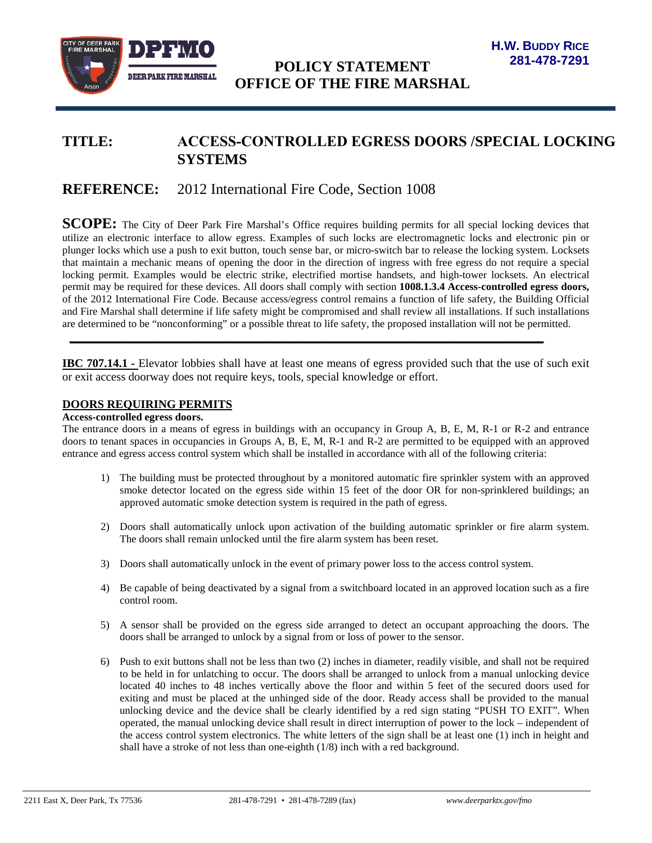

# **TITLE: ACCESS-CONTROLLED EGRESS DOORS /SPECIAL LOCKING SYSTEMS**

## **REFERENCE:** 2012 International Fire Code, Section 1008

**SCOPE:** The City of Deer Park Fire Marshal's Office requires building permits for all special locking devices that utilize an electronic interface to allow egress. Examples of such locks are electromagnetic locks and electronic pin or plunger locks which use a push to exit button, touch sense bar, or micro-switch bar to release the locking system. Locksets that maintain a mechanic means of opening the door in the direction of ingress with free egress do not require a special locking permit. Examples would be electric strike, electrified mortise handsets, and high-tower locksets. An electrical permit may be required for these devices. All doors shall comply with section **1008.1.3.4 Access-controlled egress doors,**  of the 2012 International Fire Code. Because access/egress control remains a function of life safety, the Building Official and Fire Marshal shall determine if life safety might be compromised and shall review all installations. If such installations are determined to be "nonconforming" or a possible threat to life safety, the proposed installation will not be permitted.

**IBC 707.14.1 -** Elevator lobbies shall have at least one means of egress provided such that the use of such exit or exit access doorway does not require keys, tools, special knowledge or effort.

**\_\_\_\_\_\_\_\_\_\_\_\_\_\_\_\_\_\_\_\_\_\_\_\_\_\_\_\_\_\_\_\_\_\_\_\_\_\_\_\_\_\_\_\_\_\_\_\_\_\_\_\_\_\_\_\_\_\_\_\_\_\_\_\_\_\_\_\_\_\_\_\_\_\_\_\_\_\_\_\_\_**

#### **DOORS REQUIRING PERMITS**

#### **Access-controlled egress doors.**

The entrance doors in a means of egress in buildings with an occupancy in Group A, B, E, M, R-1 or R-2 and entrance doors to tenant spaces in occupancies in Groups A, B, E, M, R-1 and R-2 are permitted to be equipped with an approved entrance and egress access control system which shall be installed in accordance with all of the following criteria:

- 1) The building must be protected throughout by a monitored automatic fire sprinkler system with an approved smoke detector located on the egress side within 15 feet of the door OR for non-sprinklered buildings; an approved automatic smoke detection system is required in the path of egress.
- 2) Doors shall automatically unlock upon activation of the building automatic sprinkler or fire alarm system. The doors shall remain unlocked until the fire alarm system has been reset.
- 3) Doors shall automatically unlock in the event of primary power loss to the access control system.
- 4) Be capable of being deactivated by a signal from a switchboard located in an approved location such as a fire control room.
- 5) A sensor shall be provided on the egress side arranged to detect an occupant approaching the doors. The doors shall be arranged to unlock by a signal from or loss of power to the sensor.
- 6) Push to exit buttons shall not be less than two (2) inches in diameter, readily visible, and shall not be required to be held in for unlatching to occur. The doors shall be arranged to unlock from a manual unlocking device located 40 inches to 48 inches vertically above the floor and within 5 feet of the secured doors used for exiting and must be placed at the unhinged side of the door. Ready access shall be provided to the manual unlocking device and the device shall be clearly identified by a red sign stating "PUSH TO EXIT". When operated, the manual unlocking device shall result in direct interruption of power to the lock – independent of the access control system electronics. The white letters of the sign shall be at least one (1) inch in height and shall have a stroke of not less than one-eighth (1/8) inch with a red background.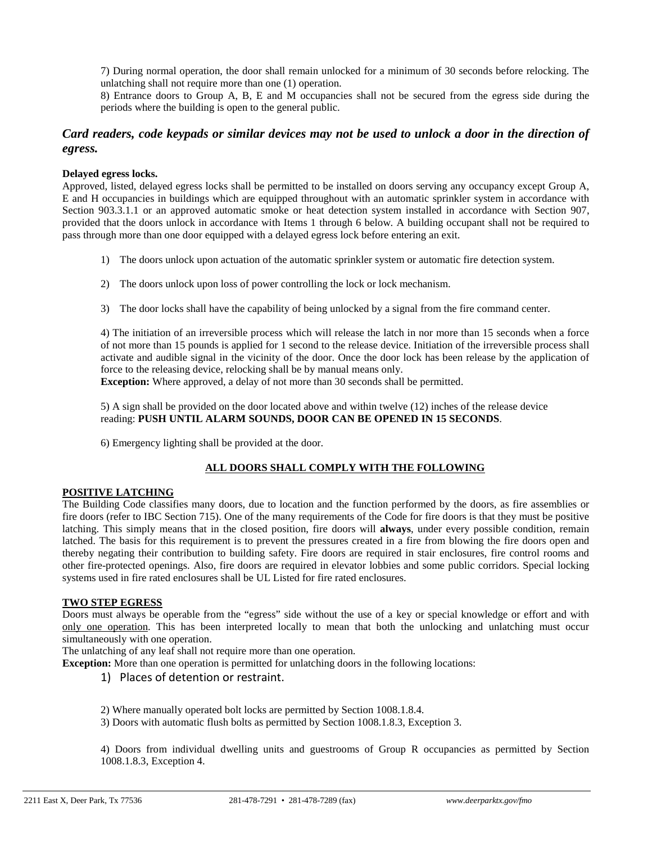7) During normal operation, the door shall remain unlocked for a minimum of 30 seconds before relocking. The unlatching shall not require more than one (1) operation.

8) Entrance doors to Group A, B, E and M occupancies shall not be secured from the egress side during the periods where the building is open to the general public.

## *Card readers, code keypads or similar devices may not be used to unlock a door in the direction of egress.*

#### **Delayed egress locks.**

Approved, listed, delayed egress locks shall be permitted to be installed on doors serving any occupancy except Group A, E and H occupancies in buildings which are equipped throughout with an automatic sprinkler system in accordance with Section 903.3.1.1 or an approved automatic smoke or heat detection system installed in accordance with Section 907, provided that the doors unlock in accordance with Items 1 through 6 below. A building occupant shall not be required to pass through more than one door equipped with a delayed egress lock before entering an exit.

- 1) The doors unlock upon actuation of the automatic sprinkler system or automatic fire detection system.
- 2) The doors unlock upon loss of power controlling the lock or lock mechanism.
- 3) The door locks shall have the capability of being unlocked by a signal from the fire command center.

4) The initiation of an irreversible process which will release the latch in nor more than 15 seconds when a force of not more than 15 pounds is applied for 1 second to the release device. Initiation of the irreversible process shall activate and audible signal in the vicinity of the door. Once the door lock has been release by the application of force to the releasing device, relocking shall be by manual means only.

**Exception:** Where approved, a delay of not more than 30 seconds shall be permitted.

5) A sign shall be provided on the door located above and within twelve (12) inches of the release device reading: **PUSH UNTIL ALARM SOUNDS, DOOR CAN BE OPENED IN 15 SECONDS**.

6) Emergency lighting shall be provided at the door.

#### **ALL DOORS SHALL COMPLY WITH THE FOLLOWING**

#### **POSITIVE LATCHING**

The Building Code classifies many doors, due to location and the function performed by the doors, as fire assemblies or fire doors (refer to IBC Section 715). One of the many requirements of the Code for fire doors is that they must be positive latching. This simply means that in the closed position, fire doors will **always**, under every possible condition, remain latched. The basis for this requirement is to prevent the pressures created in a fire from blowing the fire doors open and thereby negating their contribution to building safety. Fire doors are required in stair enclosures, fire control rooms and other fire-protected openings. Also, fire doors are required in elevator lobbies and some public corridors. Special locking systems used in fire rated enclosures shall be UL Listed for fire rated enclosures.

#### **TWO STEP EGRESS**

Doors must always be operable from the "egress" side without the use of a key or special knowledge or effort and with only one operation. This has been interpreted locally to mean that both the unlocking and unlatching must occur simultaneously with one operation.

The unlatching of any leaf shall not require more than one operation.

**Exception:** More than one operation is permitted for unlatching doors in the following locations:

#### 1) Places of detention or restraint.

2) Where manually operated bolt locks are permitted by Section 1008.1.8.4.

3) Doors with automatic flush bolts as permitted by Section 1008.1.8.3, Exception 3.

4) Doors from individual dwelling units and guestrooms of Group R occupancies as permitted by Section 1008.1.8.3, Exception 4.